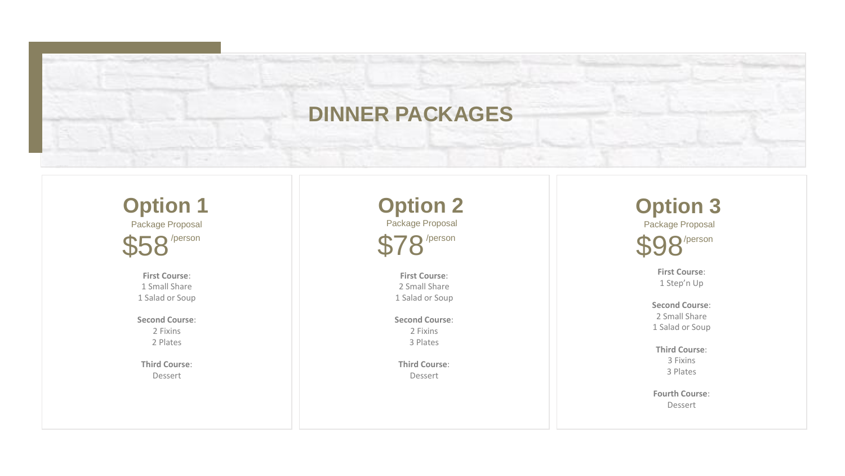# **DINNER PACKAGES**

**Option 1** Package Proposal  $\mathsf{\Gamma}\mathsf{\Omega}{}^{\prime}$ person

> **First Course**: 1 Small Share 1 Salad or Soup

**Second Course**: 2 Fixins 2 Plates

**Third Course**: Dessert

**Option 2** Package Proposal  $\bigcap$  /person

> **First Course**: 2 Small Share 1 Salad or Soup

**Second Course**: 2 Fixins 3 Plates

**Third Course**: Dessert

**Option 3** Package Proposal  $\bigcap$ /person

> **First Course**: 1 Step'n Up

**Second Course**: 2 Small Share 1 Salad or Soup

**Third Course**: 3 Fixins 3 Plates

**Fourth Course**: Dessert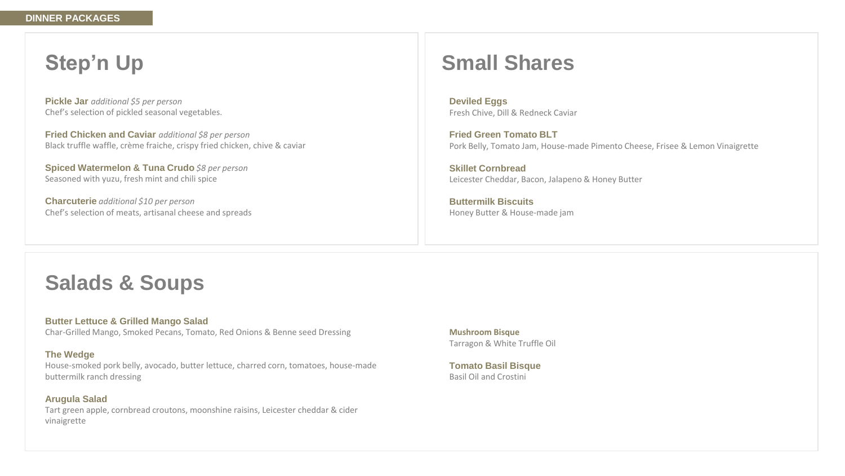## **Step'n Up**

**Pickle Jar** *additional \$5 per person* Chef's selection of pickled seasonal vegetables.

**Fried Chicken and Caviar** *additional \$8 per person* Black truffle waffle, crème fraiche, crispy fried chicken, chive & caviar

**Spiced Watermelon & Tuna Crudo** *\$8 per person* Seasoned with yuzu, fresh mint and chili spice

**Charcuterie** *additional \$10 per person* Chef's selection of meats, artisanal cheese and spreads

## **Small Shares**

**Deviled Eggs** Fresh Chive, Dill & Redneck Caviar

**Fried Green Tomato BLT** Pork Belly, Tomato Jam, House-made Pimento Cheese, Frisee & Lemon Vinaigrette

**Skillet Cornbread** Leicester Cheddar, Bacon, Jalapeno & Honey Butter

**Buttermilk Biscuits** Honey Butter & House-made jam

## **Salads & Soups**

**Butter Lettuce & Grilled Mango Salad** Char-Grilled Mango, Smoked Pecans, Tomato, Red Onions & Benne seed Dressing

#### **The Wedge**

House-smoked pork belly, avocado, butter lettuce, charred corn, tomatoes, house-made buttermilk ranch dressing

**Arugula Salad** Tart green apple, cornbread croutons, moonshine raisins, Leicester cheddar & cider vinaigrette

**Mushroom Bisque** Tarragon & White Truffle Oil

**Tomato Basil Bisque** Basil Oil and Crostini